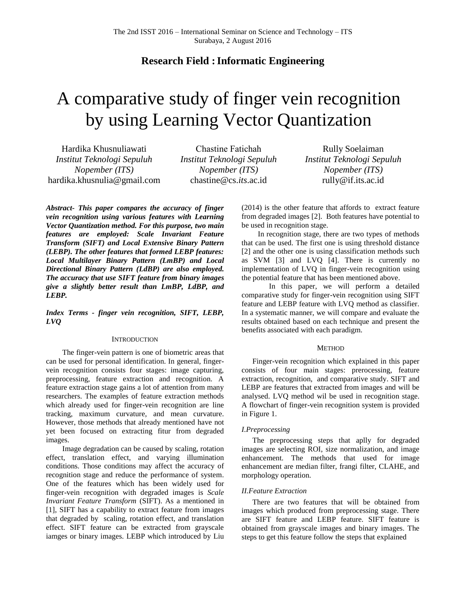# **Research Field :Informatic Engineering**

# A comparative study of finger vein recognition by using Learning Vector Quantization

Hardika Khusnuliawati *Institut Teknologi Sepuluh Nopember (ITS)* hardika.khusnulia@gmail.com

Chastine Fatichah *Institut Teknologi Sepuluh Nopember (ITS)* chastine@cs.*its*.ac.id

Rully Soelaiman *Institut Teknologi Sepuluh Nopember (ITS)* rully@if.its.ac.id

*Abstract- This paper compares the accuracy of finger vein recognition using various features with Learning Vector Quantization method. For this purpose, two main features are employed: Scale Invariant Feature Transform (SIFT) and Local Extensive Binary Pattern (LEBP). The other features that formed LEBP features: Local Multilayer Binary Pattern (LmBP) and Local Directional Binary Pattern (LdBP) are also employed. The accuracy that use SIFT feature from binary images give a slightly better result than LmBP, LdBP, and LEBP.*

*Index Terms - finger vein recognition, SIFT, LEBP, LVQ*

# **INTRODUCTION**

The finger-vein pattern is one of biometric areas that can be used for personal identification. In general, fingervein recognition consists four stages: image capturing, preprocessing, feature extraction and recognition. A feature extraction stage gains a lot of attention from many researchers. The examples of feature extraction methods which already used for finger-vein recognition are line tracking, maximum curvature, and mean curvature. However, those methods that already mentioned have not yet been focused on extracting fitur from degraded images.

Image degradation can be caused by scaling, rotation effect, translation effect, and varying illumination conditions. Those conditions may affect the accuracy of recognition stage and reduce the performance of system. One of the features which has been widely used for finger-vein recognition with degraded images is *Scale Invariant Feature Transform* (SIFT). As a mentioned in [1], SIFT has a capability to extract feature from images that degraded by scaling, rotation effect, and translation effect. SIFT feature can be extracted from grayscale iamges or binary images. LEBP which introduced by Liu (2014) is the other feature that affords to extract feature from degraded images [2]. Both features have potential to be used in recognition stage.

In recognition stage, there are two types of methods that can be used. The first one is using threshold distance [2] and the other one is using classification methods such as SVM [3] and LVQ [4]. There is currently no implementation of LVQ in finger-vein recognition using the potential feature that has been mentioned above.

In this paper, we will perform a detailed comparative study for finger-vein recognition using SIFT feature and LEBP feature with LVQ method as classifier. In a systematic manner, we will compare and evaluate the results obtained based on each technique and present the benefits associated with each paradigm.

# **METHOD**

Finger-vein recognition which explained in this paper consists of four main stages: prerocessing, feature extraction, recognition, and comparative study. SIFT and LEBP are features that extracted from images and will be analysed. LVQ method wil be used in recognition stage. A flowchart of finger-vein recognition system is provided in [Figure 1.](#page-1-0)

### *I.Preprocessing*

The preprocessing steps that aplly for degraded images are selecting ROI, size normalization, and image enhancement. The methods that used for image enhancement are median filter, frangi filter, CLAHE, and morphology operation.

# *II.Feature Extraction*

There are two features that will be obtained from images which produced from preprocessing stage. There are SIFT feature and LEBP feature. SIFT feature is obtained from grayscale images and binary images. The steps to get this feature follow the steps that explained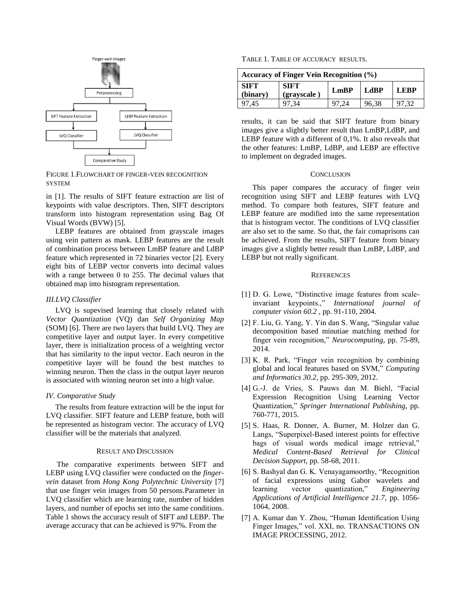

<span id="page-1-0"></span>FIGURE 1.FLOWCHART OF FINGER-VEIN RECOGNITION **SYSTEM** 

in [1]. The results of SIFT feature extraction are list of keypoints with value descriptors. Then, SIFT descriptors transform into histogram representation using Bag Of Visual Words (BVW) [5].

LEBP features are obtained from grayscale images using vein pattern as mask. LEBP features are the result of combination process between LmBP feature and LdBP feature which represented in 72 binaries vector [2]. Every eight bits of LEBP vector converts into decimal values with a range between 0 to 255. The decimal values that obtained map into histogram representation.

# *III.LVQ Classifier*

LVQ is supevised learning that closely related with *Vector Quantization* (VQ) dan *Self Organizing Map* (SOM) [6]. There are two layers that build LVQ. They are competitive layer and output layer. In every competitive layer, there is initialization process of a weighting vector that has similarity to the input vector. Each neuron in the competitive layer will be found the best matches to winning neuron. Then the class in the output layer neuron is associated with winning neuron set into a high value.

#### *IV. Comparative Study*

The results from feature extraction will be the input for LVQ classifier. SIFT feature and LEBP feature, both will be represented as histogram vector. The accuracy of LVQ classifier will be the materials that analyzed.

#### RESULT AND DISCUSSION

The comparative experiments between SIFT and LEBP using LVQ classifier were conducted on the *fingervein* dataset from *Hong Kong Polytechnic University* [7] that use finger vein images from 50 persons*.*Parameter in LVQ classifier which are learning rate, number of hidden layers, and number of epochs set into the same conditions. Table 1 shows the accuracy result of SIFT and LEBP. The average accuracy that can be achieved is 97%. From the

| TABLE 1. TABLE OF ACCURACY RESULTS. |  |
|-------------------------------------|--|
|-------------------------------------|--|

| <b>Accuracy of Finger Vein Recognition (%)</b> |                            |      |       |             |
|------------------------------------------------|----------------------------|------|-------|-------------|
| <b>SIFT</b><br>(binary)                        | <b>SIFT</b><br>(grayscale) | LmBP | LdBP  | <b>LEBP</b> |
| 97,45                                          |                            |      | 96,38 | 97.32       |

results, it can be said that SIFT feature from binary images give a slightly better result than LmBP,LdBP, and LEBP feature with a different of 0,1%. It also reveals that the other features: LmBP, LdBP, and LEBP are effective to implement on degraded images.

#### **CONCLUSION**

This paper compares the accuracy of finger vein recognition using SIFT and LEBP features with LVQ method. To compare both features, SIFT feature and LEBP feature are modified into the same representation that is histogram vector. The conditions of LVQ classifier are also set to the same. So that, the fair comaprisons can be achieved. From the results, SIFT feature from binary images give a slightly better result than LmBP, LdBP, and LEBP but not really significant.

#### **REFERENCES**

- [1] D. G. Lowe, "Distinctive image features from scaleinvariant keypoints.," *International journal of computer vision 60.2 ,* pp. 91-110, 2004.
- [2] F. Liu, G. Yang, Y. Yin dan S. Wang, "Singular value decomposition based minutiae matching method for finger vein recognition," *Neurocomputing,* pp. 75-89, 2014.
- [3] K. R. Park, "Finger vein recognition by combining global and local features based on SVM," *Computing and Informatics 30.2,* pp. 295-309, 2012.
- [4] G.-J. de Vries, S. Pauws dan M. Biehl, "Facial Expression Recognition Using Learning Vector Quantization," *Springer International Publishing,* pp. 760-771, 2015.
- [5] S. Haas, R. Donner, A. Burner, M. Holzer dan G. Langs, "Superpixel-Based interest points for effective bags of visual words medical image retrieval," *Medical Content-Based Retrieval for Clinical Decision Support,* pp. 58-68, 2011.
- [6] S. Bashyal dan G. K. Venayagamoorthy, "Recognition of facial expressions using Gabor wavelets and learning vector quantization," *Engineering Applications of Artificial Intelligence 21.7,* pp. 1056- 1064, 2008.
- [7] A. Kumar dan Y. Zhou, "Human Identification Using Finger Images," vol. XXI, no. TRANSACTIONS ON IMAGE PROCESSING, 2012.